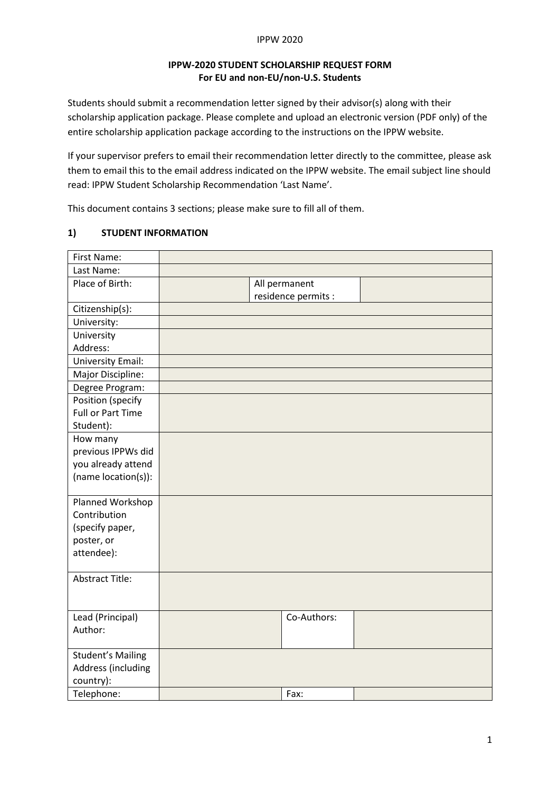#### IPPW 2020

## **IPPW-2020 STUDENT SCHOLARSHIP REQUEST FORM For EU and non-EU/non-U.S. Students**

Students should submit a recommendation letter signed by their advisor(s) along with their scholarship application package. Please complete and upload an electronic version (PDF only) of the entire scholarship application package according to the instructions on the IPPW website.

If your supervisor prefers to email their recommendation letter directly to the committee, please ask them to email this to the email address indicated on the IPPW website. The email subject line should read: IPPW Student Scholarship Recommendation 'Last Name'.

This document contains 3 sections; please make sure to fill all of them.

### **1) STUDENT INFORMATION**

| First Name:              |  |                     |  |
|--------------------------|--|---------------------|--|
| Last Name:               |  |                     |  |
| Place of Birth:          |  | All permanent       |  |
|                          |  | residence permits : |  |
| Citizenship(s):          |  |                     |  |
| University:              |  |                     |  |
| University               |  |                     |  |
| Address:                 |  |                     |  |
| <b>University Email:</b> |  |                     |  |
| Major Discipline:        |  |                     |  |
| Degree Program:          |  |                     |  |
| Position (specify        |  |                     |  |
| <b>Full or Part Time</b> |  |                     |  |
| Student):                |  |                     |  |
| How many                 |  |                     |  |
| previous IPPWs did       |  |                     |  |
| you already attend       |  |                     |  |
| (name location(s)):      |  |                     |  |
|                          |  |                     |  |
| Planned Workshop         |  |                     |  |
| Contribution             |  |                     |  |
| (specify paper,          |  |                     |  |
| poster, or               |  |                     |  |
| attendee):               |  |                     |  |
|                          |  |                     |  |
| <b>Abstract Title:</b>   |  |                     |  |
|                          |  |                     |  |
|                          |  |                     |  |
| Lead (Principal)         |  | Co-Authors:         |  |
| Author:                  |  |                     |  |
|                          |  |                     |  |
| <b>Student's Mailing</b> |  |                     |  |
| Address (including       |  |                     |  |
| country):                |  |                     |  |
| Telephone:               |  | Fax:                |  |